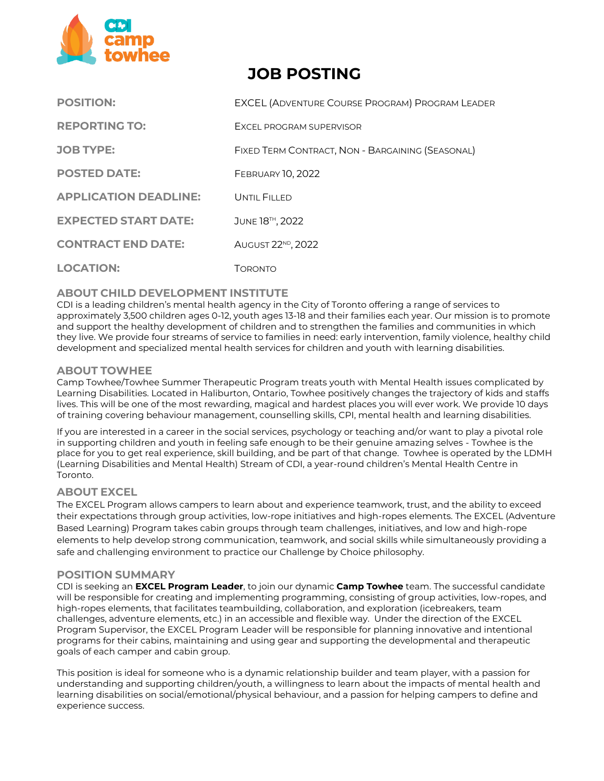

# **JOB POSTING**

| <b>POSITION:</b>             | <b>EXCEL (ADVENTURE COURSE PROGRAM) PROGRAM LEADER</b> |
|------------------------------|--------------------------------------------------------|
| <b>REPORTING TO:</b>         | <b>FXCEL PROGRAM SUPERVISOR</b>                        |
| <b>JOB TYPE:</b>             | FIXED TERM CONTRACT, NON - BARGAINING (SEASONAL)       |
| <b>POSTED DATE:</b>          | <b>FEBRUARY 10, 2022</b>                               |
| <b>APPLICATION DEADLINE:</b> | UNTIL FILLED                                           |
| <b>EXPECTED START DATE:</b>  | JUNE 18TH, 2022                                        |
| <b>CONTRACT END DATE:</b>    | AUGUST 22 <sup>ND</sup> , 2022                         |
| <b>LOCATION:</b>             | <b>TORONTO</b>                                         |

## **ABOUT CHILD DEVELOPMENT INSTITUTE**

CDI is a leading children's mental health agency in the City of Toronto offering a range of services to approximately 3,500 children ages 0‐12, youth ages 13-18 and their families each year. Our mission is to promote and support the healthy development of children and to strengthen the families and communities in which they live. We provide four streams of service to families in need: early intervention, family violence, healthy child development and specialized mental health services for children and youth with learning disabilities.

## **ABOUT TOWHEE**

Camp Towhee/Towhee Summer Therapeutic Program treats youth with Mental Health issues complicated by Learning Disabilities. Located in Haliburton, Ontario, Towhee positively changes the trajectory of kids and staffs lives. This will be one of the most rewarding, magical and hardest places you will ever work. We provide 10 days of training covering behaviour management, counselling skills, CPI, mental health and learning disabilities.

If you are interested in a career in the social services, psychology or teaching and/or want to play a pivotal role in supporting children and youth in feeling safe enough to be their genuine amazing selves - Towhee is the place for you to get real experience, skill building, and be part of that change. Towhee is operated by the LDMH (Learning Disabilities and Mental Health) Stream of CDI, a year-round children's Mental Health Centre in Toronto.

## **ABOUT EXCEL**

The EXCEL Program allows campers to learn about and experience teamwork, trust, and the ability to exceed their expectations through group activities, low-rope initiatives and high-ropes elements. The EXCEL (Adventure Based Learning) Program takes cabin groups through team challenges, initiatives, and low and high-rope elements to help develop strong communication, teamwork, and social skills while simultaneously providing a safe and challenging environment to practice our Challenge by Choice philosophy.

#### **POSITION SUMMARY**

CDI is seeking an **EXCEL Program Leader**, to join our dynamic **Camp Towhee** team. The successful candidate will be responsible for creating and implementing programming, consisting of group activities, low-ropes, and high-ropes elements, that facilitates teambuilding, collaboration, and exploration (icebreakers, team challenges, adventure elements, etc.) in an accessible and flexible way. Under the direction of the EXCEL Program Supervisor, the EXCEL Program Leader will be responsible for planning innovative and intentional programs for their cabins, maintaining and using gear and supporting the developmental and therapeutic goals of each camper and cabin group.

This position is ideal for someone who is a dynamic relationship builder and team player, with a passion for understanding and supporting children/youth, a willingness to learn about the impacts of mental health and learning disabilities on social/emotional/physical behaviour, and a passion for helping campers to define and experience success.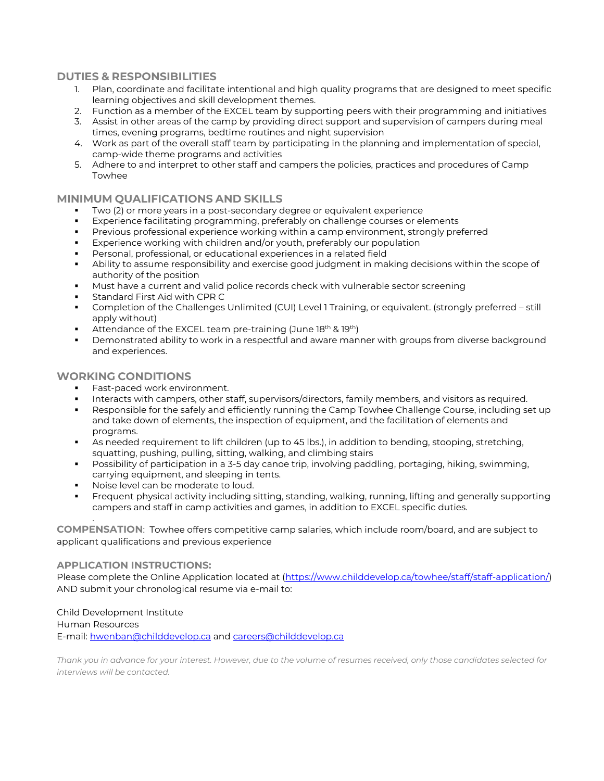#### **DUTIES & RESPONSIBILITIES**

- 1. Plan, coordinate and facilitate intentional and high quality programs that are designed to meet specific learning objectives and skill development themes.
- 2. Function as a member of the EXCEL team by supporting peers with their programming and initiatives
- 3. Assist in other areas of the camp by providing direct support and supervision of campers during meal times, evening programs, bedtime routines and night supervision
- 4. Work as part of the overall staff team by participating in the planning and implementation of special, camp-wide theme programs and activities
- 5. Adhere to and interpret to other staff and campers the policies, practices and procedures of Camp Towhee

#### **MINIMUM QUALIFICATIONS AND SKILLS**

- Two (2) or more years in a post-secondary degree or equivalent experience
- Experience facilitating programming, preferably on challenge courses or elements
- Previous professional experience working within a camp environment, strongly preferred
- Experience working with children and/or youth, preferably our population
- Personal, professional, or educational experiences in a related field
- Ability to assume responsibility and exercise good judgment in making decisions within the scope of authority of the position
- **■** Must have a current and valid police records check with vulnerable sector screening
- Standard First Aid with CPR C
- Completion of the Challenges Unlimited (CUI) Level 1 Training, or equivalent. (strongly preferred still apply without)
- **EXALLER** Attendance of the EXCEL team pre-training (June  $18<sup>th</sup>$  &  $19<sup>th</sup>$ )
- **•** Demonstrated ability to work in a respectful and aware manner with groups from diverse background and experiences.

#### **WORKING CONDITIONS**

- **Fast-paced work environment.**
- Interacts with campers, other staff, supervisors/directors, family members, and visitors as required.
- Responsible for the safely and efficiently running the Camp Towhee Challenge Course, including set up and take down of elements, the inspection of equipment, and the facilitation of elements and programs.
- As needed requirement to lift children (up to 45 lbs.), in addition to bending, stooping, stretching, squatting, pushing, pulling, sitting, walking, and climbing stairs
- Possibility of participation in a 3-5 day canoe trip, involving paddling, portaging, hiking, swimming, carrying equipment, and sleeping in tents.
- Noise level can be moderate to loud.
- Frequent physical activity including sitting, standing, walking, running, lifting and generally supporting campers and staff in camp activities and games, in addition to EXCEL specific duties.

**COMPENSATION**: Towhee offers competitive camp salaries, which include room/board, and are subject to applicant qualifications and previous experience

#### **APPLICATION INSTRUCTIONS:**

.

Please complete the Online Application located at [\(https://www.childdevelop.ca/towhee/staff/staff-application/\)](https://www.childdevelop.ca/towhee/staff/staff-application/) AND submit your chronological resume via e-mail to:

Child Development Institute Human Resources E-mail: [hwenban@childdevelop.ca](mailto:hwenban@childdevelop.ca) and [careers@childdevelop.ca](mailto:careers@childdevelop.ca)

*Thank you in advance for your interest. However, due to the volume of resumes received, only those candidates selected for interviews will be contacted.*